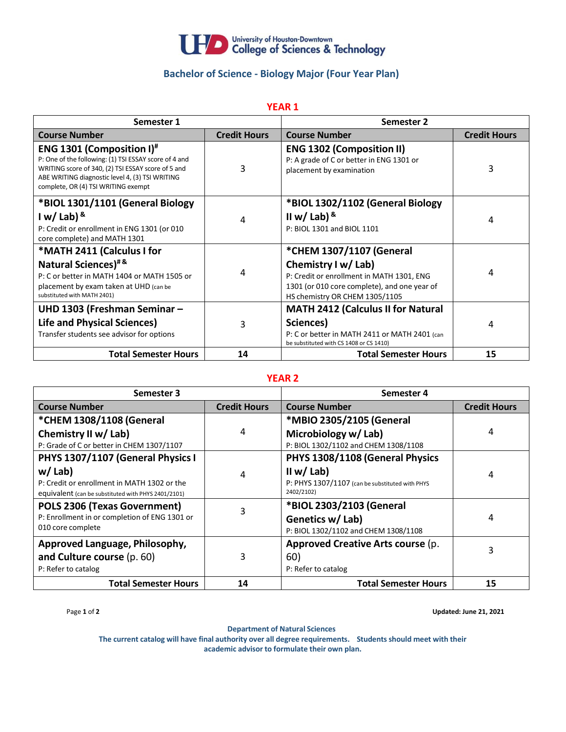

## **Bachelor of Science - Biology Major (Four Year Plan)**

## **YEAR 1**

| Semester 1                                                                                                                                                                                                                                |                     | <b>Semester 2</b>                                                                                                                                                              |                     |
|-------------------------------------------------------------------------------------------------------------------------------------------------------------------------------------------------------------------------------------------|---------------------|--------------------------------------------------------------------------------------------------------------------------------------------------------------------------------|---------------------|
| <b>Course Number</b>                                                                                                                                                                                                                      | <b>Credit Hours</b> | <b>Course Number</b>                                                                                                                                                           | <b>Credit Hours</b> |
| <b>ENG 1301 (Composition I)#</b><br>P: One of the following: (1) TSI ESSAY score of 4 and<br>WRITING score of 340, (2) TSI ESSAY score of 5 and<br>ABE WRITING diagnostic level 4, (3) TSI WRITING<br>complete, OR (4) TSI WRITING exempt | 3                   | <b>ENG 1302 (Composition II)</b><br>P: A grade of C or better in ENG 1301 or<br>placement by examination                                                                       | 3                   |
| *BIOL 1301/1101 (General Biology<br>I w/ Lab) $8$<br>P: Credit or enrollment in ENG 1301 (or 010<br>core complete) and MATH 1301                                                                                                          | 4                   | *BIOL 1302/1102 (General Biology<br>II w/ Lab) $8$<br>P: BIOL 1301 and BIOL 1101                                                                                               | 4                   |
| *MATH 2411 (Calculus I for<br>Natural Sciences) <sup>#&amp;</sup><br>P: C or better in MATH 1404 or MATH 1505 or<br>placement by exam taken at UHD (can be<br>substituted with MATH 2401)                                                 | 4                   | *CHEM 1307/1107 (General<br>Chemistry I w/ Lab)<br>P: Credit or enrollment in MATH 1301, ENG<br>1301 (or 010 core complete), and one year of<br>HS chemistry OR CHEM 1305/1105 | 4                   |
| UHD 1303 (Freshman Seminar -<br><b>Life and Physical Sciences)</b><br>Transfer students see advisor for options                                                                                                                           | 3                   | <b>MATH 2412 (Calculus II for Natural</b><br>Sciences)<br>P: C or better in MATH 2411 or MATH 2401 (can<br>be substituted with CS 1408 or CS 1410)                             | 4                   |
| <b>Total Semester Hours</b>                                                                                                                                                                                                               | 14                  | <b>Total Semester Hours</b>                                                                                                                                                    | 15                  |

## **YEAR 2**

| Semester 3                                          |                     | Semester 4                                      |                     |
|-----------------------------------------------------|---------------------|-------------------------------------------------|---------------------|
| <b>Course Number</b>                                | <b>Credit Hours</b> | <b>Course Number</b>                            | <b>Credit Hours</b> |
| *CHEM 1308/1108 (General                            |                     | *MBIO 2305/2105 (General                        |                     |
| Chemistry II w/ Lab)                                | 4                   | Microbiology w/ Lab)                            | 4                   |
| P: Grade of C or better in CHEM 1307/1107           |                     | P: BIOL 1302/1102 and CHEM 1308/1108            |                     |
| PHYS 1307/1107 (General Physics I                   |                     | PHYS 1308/1108 (General Physics                 |                     |
| $w /$ Lab)                                          | 4                   | II w/ Lab)                                      | 4                   |
| P: Credit or enrollment in MATH 1302 or the         |                     | P: PHYS 1307/1107 (can be substituted with PHYS |                     |
| equivalent (can be substituted with PHYS 2401/2101) |                     | 2402/2102)                                      |                     |
| POLS 2306 (Texas Government)                        | 3                   | *BIOL 2303/2103 (General                        |                     |
| P: Enrollment in or completion of ENG 1301 or       |                     | Genetics w/ Lab)                                | 4                   |
| 010 core complete                                   |                     | P: BIOL 1302/1102 and CHEM 1308/1108            |                     |
| Approved Language, Philosophy,                      |                     | Approved Creative Arts course (p.               |                     |
| and Culture course (p. 60)                          | 3                   | 60)                                             | 3                   |
| P: Refer to catalog                                 |                     | P: Refer to catalog                             |                     |
| <b>Total Semester Hours</b>                         | 14                  | <b>Total Semester Hours</b>                     | 15                  |

Page **1** of **2 Updated: June 21, 2021**

**Department of Natural Sciences**

**The current catalog will have final authority over all degree requirements. Students should meet with their academic advisor to formulate their own plan.**